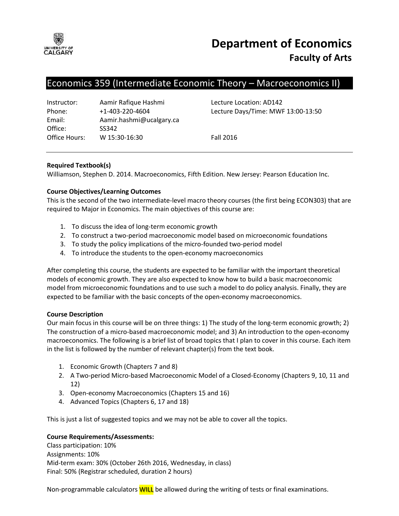

# Economics 359 (Intermediate Economic Theory – Macroeconomics II)

| Instructor:   | Aamir Rafique Hashmi     |
|---------------|--------------------------|
| Phone:        | $+1 - 403 - 220 - 4604$  |
| Email:        | Aamir.hashmi@ucalgary.ca |
| Office:       | SS342                    |
| Office Hours: | W 15:30-16:30            |

Lecture Location: AD142 Lecture Days/Time: MWF 13:00-13:50

**Fall 2016** 

# **Required Textbook(s)**

Williamson, Stephen D. 2014. Macroeconomics, Fifth Edition. New Jersey: Pearson Education Inc.

# **Course Objectives/Learning Outcomes**

This is the second of the two intermediate-level macro theory courses (the first being ECON303) that are required to Major in Economics. The main objectives of this course are:

- 1. To discuss the idea of long-term economic growth
- 2. To construct a two-period macroeconomic model based on microeconomic foundations
- 3. To study the policy implications of the micro-founded two-period model
- 4. To introduce the students to the open-economy macroeconomics

After completing this course, the students are expected to be familiar with the important theoretical models of economic growth. They are also expected to know how to build a basic macroeconomic model from microeconomic foundations and to use such a model to do policy analysis. Finally, they are expected to be familiar with the basic concepts of the open-economy macroeconomics.

### **Course Description**

Our main focus in this course will be on three things: 1) The study of the long-term economic growth; 2) The construction of a micro-based macroeconomic model; and 3) An introduction to the open-economy macroeconomics. The following is a brief list of broad topics that I plan to cover in this course. Each item in the list is followed by the number of relevant chapter(s) from the text book.

- 1. Economic Growth (Chapters 7 and 8)
- 2. A Two-period Micro-based Macroeconomic Model of a Closed-Economy (Chapters 9, 10, 11 and 12)
- 3. Open-economy Macroeconomics (Chapters 15 and 16)
- 4. Advanced Topics (Chapters 6, 17 and 18)

This is just a list of suggested topics and we may not be able to cover all the topics.

### **Course Requirements/Assessments:**

Class participation: 10% Assignments: 10% Mid-term exam: 30% (October 26th 2016, Wednesday, in class) Final: 50% (Registrar scheduled, duration 2 hours)

Non-programmable calculators **WILL** be allowed during the writing of tests or final examinations.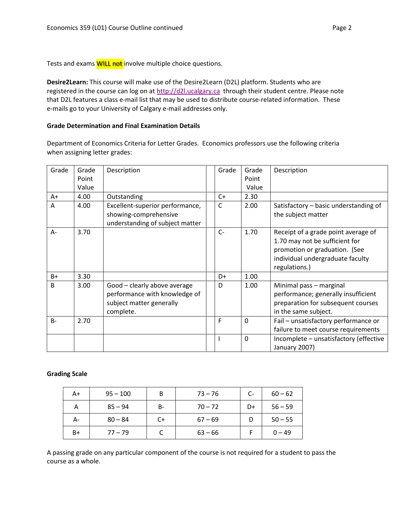Tests and exams **WILL not** involve multiple choice questions.

**Desire2Learn:** This course will make use of the Desire2Learn (D2L) platform. Students who are registered in the course can log on at [http://d2l.ucalgary.ca](http://d2l.ucalgary.ca/) through their student centre. Please note that D2L features a class e-mail list that may be used to distribute course-related information. These e-mails go to your University of Calgary e-mail addresses only.

### **Grade Determination and Final Examination Details**

Department of Economics Criteria for Letter Grades. Economics professors use the following criteria when assigning letter grades:

| Grade        | Grade | Description                                                                                            | Grade | Grade    | Description                                                                                                                                                 |
|--------------|-------|--------------------------------------------------------------------------------------------------------|-------|----------|-------------------------------------------------------------------------------------------------------------------------------------------------------------|
|              | Point |                                                                                                        |       | Point    |                                                                                                                                                             |
|              | Value |                                                                                                        |       | Value    |                                                                                                                                                             |
| A+           | 4.00  | Outstanding                                                                                            | C+    | 2.30     |                                                                                                                                                             |
| A            | 4.00  | Excellent-superior performance,<br>showing-comprehensive<br>understanding of subject matter            | C     | 2.00     | Satisfactory - basic understanding of<br>the subject matter                                                                                                 |
| A-           | 3.70  |                                                                                                        | $C -$ | 1.70     | Receipt of a grade point average of<br>1.70 may not be sufficient for<br>promotion or graduation. (See<br>individual undergraduate faculty<br>regulations.) |
| $B+$         | 3.30  |                                                                                                        | D+    | 1.00     |                                                                                                                                                             |
| <sub>B</sub> | 3.00  | Good - clearly above average<br>performance with knowledge of<br>subject matter generally<br>complete. | D     | 1.00     | Minimal pass - marginal<br>performance; generally insufficient<br>preparation for subsequent courses<br>in the same subject.                                |
| $B -$        | 2.70  |                                                                                                        | F     | $\Omega$ | Fail - unsatisfactory performance or<br>failure to meet course requirements                                                                                 |
|              |       |                                                                                                        |       | 0        | Incomplete - unsatisfactory (effective<br>January 2007)                                                                                                     |

### **Grading Scale**

| A+ | $95 - 100$ | B  | $73 - 76$ | $C-$ | $60 - 62$ |
|----|------------|----|-----------|------|-----------|
| А  | $85 - 94$  | B- | $70 - 72$ | D+   | $56 - 59$ |
| А- | $80 - 84$  | C+ | $67 - 69$ | D    | $50 - 55$ |
| B+ | $77 - 79$  |    | $63 - 66$ |      | $0 - 49$  |

A passing grade on any particular component of the course is not required for a student to pass the course as a whole.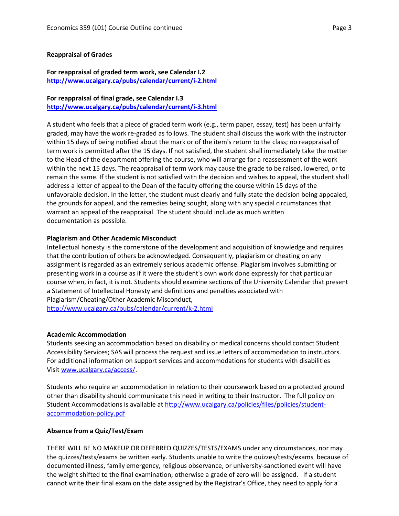#### **Reappraisal of Grades**

### **For reappraisal of graded term work, see Calendar I.2 <http://www.ucalgary.ca/pubs/calendar/current/i-2.html>**

# **For reappraisal of final grade, see Calendar I.3**

**<http://www.ucalgary.ca/pubs/calendar/current/i-3.html>**

A student who feels that a piece of graded term work (e.g., term paper, essay, test) has been unfairly graded, may have the work re-graded as follows. The student shall discuss the work with the instructor within 15 days of being notified about the mark or of the item's return to the class; no reappraisal of term work is permitted after the 15 days. If not satisfied, the student shall immediately take the matter to the Head of the department offering the course, who will arrange for a reassessment of the work within the next 15 days. The reappraisal of term work may cause the grade to be raised, lowered, or to remain the same. If the student is not satisfied with the decision and wishes to appeal, the student shall address a letter of appeal to the Dean of the faculty offering the course within 15 days of the unfavorable decision. In the letter, the student must clearly and fully state the decision being appealed, the grounds for appeal, and the remedies being sought, along with any special circumstances that warrant an appeal of the reappraisal. The student should include as much written documentation as possible.

### **Plagiarism and Other Academic Misconduct**

Intellectual honesty is the cornerstone of the development and acquisition of knowledge and requires that the contribution of others be acknowledged. Consequently, plagiarism or cheating on any assignment is regarded as an extremely serious academic offense. Plagiarism involves submitting or presenting work in a course as if it were the student's own work done expressly for that particular course when, in fact, it is not. Students should examine sections of the University Calendar that present a Statement of Intellectual Honesty and definitions and penalties associated with Plagiarism/Cheating/Other Academic Misconduct,

<http://www.ucalgary.ca/pubs/calendar/current/k-2.html>

### **Academic Accommodation**

Students seeking an accommodation based on disability or medical concerns should contact Student Accessibility Services; SAS will process the request and issue letters of accommodation to instructors. For additional information on support services and accommodations for students with disabilities Visit [www.ucalgary.ca/access/.](http://www.ucalgary.ca/access/)

Students who require an accommodation in relation to their coursework based on a protected ground other than disability should communicate this need in writing to their Instructor. The full policy on Student Accommodations is available at [http://www.ucalgary.ca/policies/files/policies/student](http://www.ucalgary.ca/policies/files/policies/student-accommodation-policy.pdf)[accommodation-policy.pdf](http://www.ucalgary.ca/policies/files/policies/student-accommodation-policy.pdf)

### **Absence from a Quiz/Test/Exam**

THERE WILL BE NO MAKEUP OR DEFERRED QUIZZES/TESTS/EXAMS under any circumstances, nor may the quizzes/tests/exams be written early. Students unable to write the quizzes/tests/exams because of documented illness, family emergency, religious observance, or university-sanctioned event will have the weight shifted to the final examination; otherwise a grade of zero will be assigned. If a student cannot write their final exam on the date assigned by the Registrar's Office, they need to apply for a